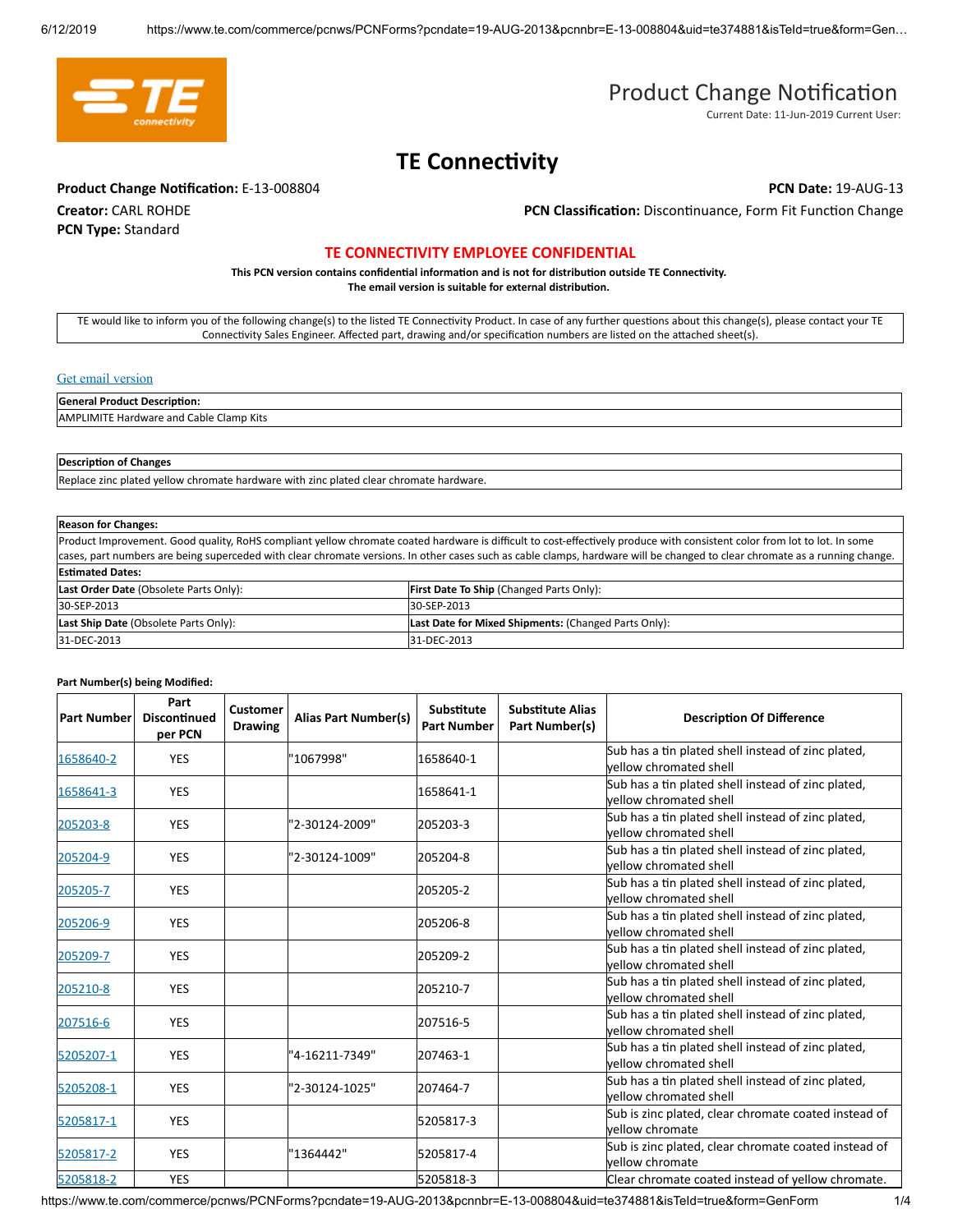

# Product Change Notification

Current Date: 11-Jun-2019 Current User:

## **TE Connectivity**

**Product Change Notification:** E-13-008804 **PCN Date: 19-AUG-13 PCN Date: 19-AUG-13** 

**Creator:** CARL ROHDE **PCN Type:** Standard

PCN Classification: Discontinuance, Form Fit Function Change

### **TE CONNECTIVITY EMPLOYEE CONFIDENTIAL**

This PCN version contains confidential information and is not for distribution outside TE Connectivity. The email version is suitable for external distribution.

TE would like to inform you of the following change(s) to the listed TE Connectivity Product. In case of any further questions about this change(s), please contact your TE Connectivity Sales Engineer. Affected part, drawing and/or specification numbers are listed on the attached sheet(s).

#### [Get email version](https://www.te.com/commerce/pcnws/PCNForms?pcndate=19-AUG-13&pcnnbr=E-13-008804&PAGENAME=PCNFORM&ExtView=Y)

#### **General Product Description:**

AMPLIMITE Hardware and Cable Clamp Kits

### **Description of Changes**

Replace zinc plated yellow chromate hardware with zinc plated clear chromate hardware.

| <b>Reason for Changes:</b>                                                                                                                                                  |                                                      |  |  |  |
|-----------------------------------------------------------------------------------------------------------------------------------------------------------------------------|------------------------------------------------------|--|--|--|
| Product Improvement. Good quality, RoHS compliant yellow chromate coated hardware is difficult to cost-effectively produce with consistent color from lot to lot. In some   |                                                      |  |  |  |
| cases, part numbers are being superceded with clear chromate versions. In other cases such as cable clamps, hardware will be changed to clear chromate as a running change. |                                                      |  |  |  |
| <b>Estimated Dates:</b>                                                                                                                                                     |                                                      |  |  |  |
| Last Order Date (Obsolete Parts Only):                                                                                                                                      | First Date To Ship (Changed Parts Only):             |  |  |  |
| 30-SEP-2013                                                                                                                                                                 | 30-SEP-2013                                          |  |  |  |
| Last Ship Date (Obsolete Parts Only):                                                                                                                                       | Last Date for Mixed Shipments: (Changed Parts Only): |  |  |  |
| 31-DEC-2013                                                                                                                                                                 | 31-DEC-2013                                          |  |  |  |

#### **Part Number(s) being Modified:**

| <b>Part Number</b> | Part<br><b>Discontinued</b><br>per PCN | <b>Customer</b><br><b>Drawing</b> | Alias Part Number(s) | Substitute<br><b>Part Number</b> | <b>Substitute Alias</b><br>Part Number(s) | <b>Description Of Difference</b>                                             |
|--------------------|----------------------------------------|-----------------------------------|----------------------|----------------------------------|-------------------------------------------|------------------------------------------------------------------------------|
| 1658640-2          | <b>YES</b>                             |                                   | "1067998"            | 1658640-1                        |                                           | Sub has a tin plated shell instead of zinc plated,<br>vellow chromated shell |
| 1658641-3          | <b>YES</b>                             |                                   |                      | 1658641-1                        |                                           | Sub has a tin plated shell instead of zinc plated,<br>vellow chromated shell |
| 205203-8           | <b>YES</b>                             |                                   | "2-30124-2009"       | 205203-3                         |                                           | Sub has a tin plated shell instead of zinc plated,<br>vellow chromated shell |
| 205204-9           | <b>YES</b>                             |                                   | "2-30124-1009"       | 205204-8                         |                                           | Sub has a tin plated shell instead of zinc plated,<br>vellow chromated shell |
| 205205-7           | <b>YES</b>                             |                                   |                      | 205205-2                         |                                           | Sub has a tin plated shell instead of zinc plated,<br>vellow chromated shell |
| 205206-9           | <b>YES</b>                             |                                   |                      | 205206-8                         |                                           | Sub has a tin plated shell instead of zinc plated,<br>vellow chromated shell |
| 205209-7           | <b>YES</b>                             |                                   |                      | 205209-2                         |                                           | Sub has a tin plated shell instead of zinc plated,<br>vellow chromated shell |
| 205210-8           | <b>YES</b>                             |                                   |                      | 205210-7                         |                                           | Sub has a tin plated shell instead of zinc plated,<br>vellow chromated shell |
| 207516-6           | <b>YES</b>                             |                                   |                      | 207516-5                         |                                           | Sub has a tin plated shell instead of zinc plated,<br>vellow chromated shell |
| 5205207-1          | <b>YES</b>                             |                                   | '4-16211-7349"       | 207463-1                         |                                           | Sub has a tin plated shell instead of zinc plated,<br>vellow chromated shell |
| 5205208-1          | <b>YES</b>                             |                                   | "2-30124-1025"       | 207464-7                         |                                           | Sub has a tin plated shell instead of zinc plated,<br>vellow chromated shell |
| 5205817-1          | <b>YES</b>                             |                                   |                      | 5205817-3                        |                                           | Sub is zinc plated, clear chromate coated instead of<br>vellow chromate      |
| 5205817-2          | <b>YES</b>                             |                                   | "1364442"            | 5205817-4                        |                                           | Sub is zinc plated, clear chromate coated instead of<br>vellow chromate      |
| 5205818-2          | <b>YES</b>                             |                                   |                      | 5205818-3                        |                                           | Clear chromate coated instead of yellow chromate.                            |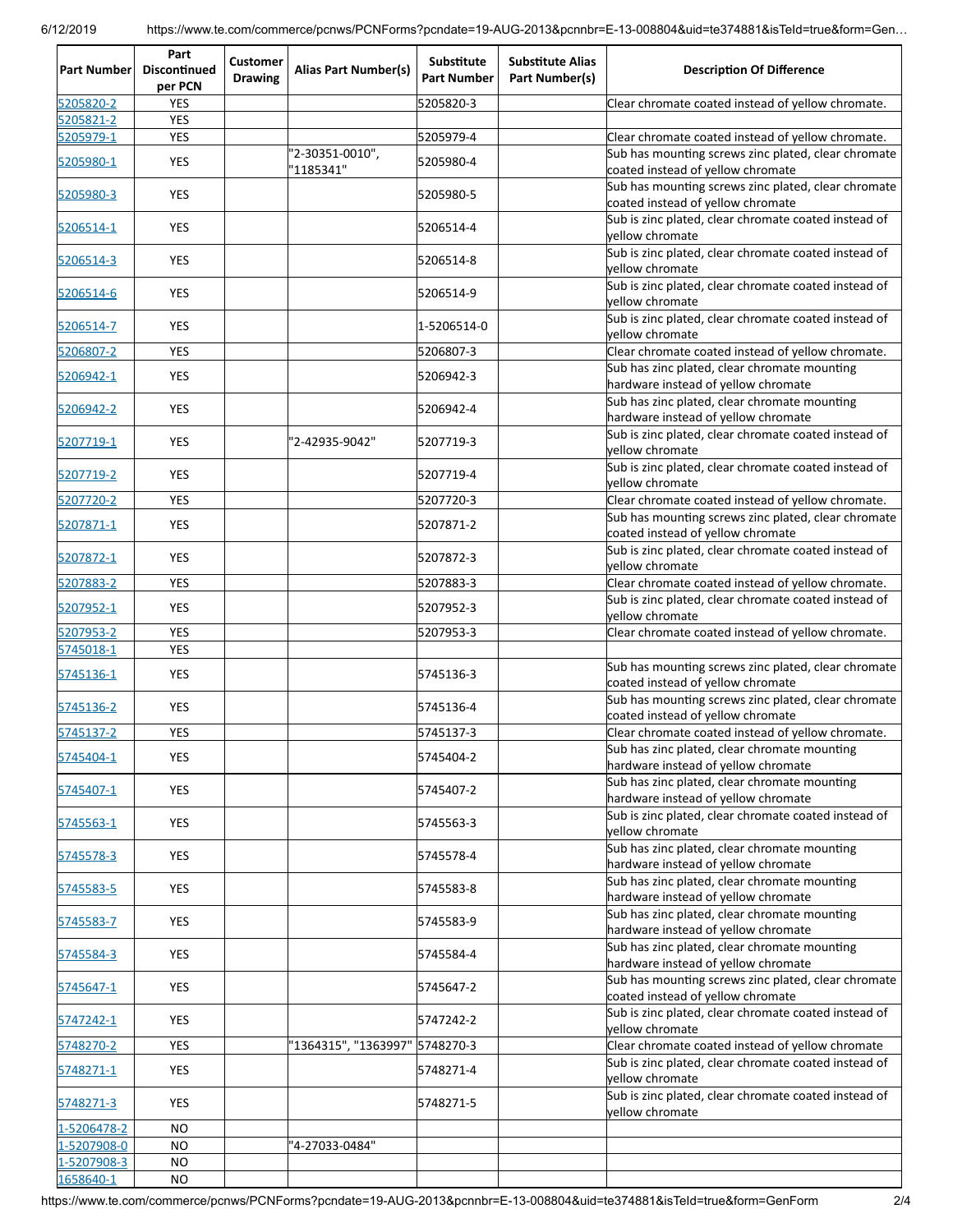| <b>Part Number</b>     | Part<br><b>Discontinued</b><br>per PCN | <b>Customer</b><br><b>Drawing</b> | <b>Alias Part Number(s)</b>    | Substitute<br><b>Part Number</b> | <b>Substitute Alias</b><br>Part Number(s) | <b>Description Of Difference</b>                                                                         |
|------------------------|----------------------------------------|-----------------------------------|--------------------------------|----------------------------------|-------------------------------------------|----------------------------------------------------------------------------------------------------------|
| 5205820-2              | <b>YES</b>                             |                                   |                                | 5205820-3                        |                                           | Clear chromate coated instead of yellow chromate.                                                        |
| 5205821-2              | <b>YES</b>                             |                                   |                                |                                  |                                           |                                                                                                          |
| 5205979-1<br>5205980-1 | <b>YES</b><br>YES                      |                                   | '2-30351-0010",                | 5205979-4<br>5205980-4           |                                           | Clear chromate coated instead of yellow chromate.<br>Sub has mounting screws zinc plated, clear chromate |
| 5205980-3              | <b>YES</b>                             |                                   | '1185341"                      | 5205980-5                        |                                           | coated instead of yellow chromate<br>Sub has mounting screws zinc plated, clear chromate                 |
| 5206514-1              | <b>YES</b>                             |                                   |                                | 5206514-4                        |                                           | coated instead of yellow chromate<br>Sub is zinc plated, clear chromate coated instead of                |
| 5206514-3              | <b>YES</b>                             |                                   |                                | 5206514-8                        |                                           | yellow chromate<br>Sub is zinc plated, clear chromate coated instead of                                  |
| 5206514-6              | <b>YES</b>                             |                                   |                                | 5206514-9                        |                                           | yellow chromate<br>Sub is zinc plated, clear chromate coated instead of                                  |
| 5206514-7              | <b>YES</b>                             |                                   |                                | 1-5206514-0                      |                                           | yellow chromate<br>Sub is zinc plated, clear chromate coated instead of                                  |
| 5206807-2              | <b>YES</b>                             |                                   |                                | 5206807-3                        |                                           | yellow chromate<br>Clear chromate coated instead of yellow chromate.                                     |
| 5206942-1              | YES                                    |                                   |                                | 5206942-3                        |                                           | Sub has zinc plated, clear chromate mounting<br>hardware instead of yellow chromate                      |
| 5206942-2              | <b>YES</b>                             |                                   |                                | 5206942-4                        |                                           | Sub has zinc plated, clear chromate mounting<br>hardware instead of yellow chromate                      |
| 5207719-1              | <b>YES</b>                             |                                   | "2-42935-9042"                 | 5207719-3                        |                                           | Sub is zinc plated, clear chromate coated instead of<br>yellow chromate                                  |
| 5207719-2              | <b>YES</b>                             |                                   |                                | 5207719-4                        |                                           | Sub is zinc plated, clear chromate coated instead of<br>yellow chromate                                  |
| 5207720-2              | <b>YES</b>                             |                                   |                                | 5207720-3                        |                                           | Clear chromate coated instead of yellow chromate.                                                        |
| 5207871-1              | YES                                    |                                   |                                | 5207871-2                        |                                           | Sub has mounting screws zinc plated, clear chromate                                                      |
|                        |                                        |                                   |                                |                                  |                                           | coated instead of yellow chromate<br>Sub is zinc plated, clear chromate coated instead of                |
| 5207872-1              | <b>YES</b>                             |                                   |                                | 5207872-3                        |                                           | vellow chromate                                                                                          |
| 5207883-2              | <b>YES</b>                             |                                   |                                | 5207883-3                        |                                           | Clear chromate coated instead of yellow chromate.                                                        |
| 5207952-1              | <b>YES</b>                             |                                   |                                | 5207952-3                        |                                           | Sub is zinc plated, clear chromate coated instead of<br>yellow chromate                                  |
| 5207953-2<br>5745018-1 | <b>YES</b><br><b>YES</b>               |                                   |                                | 5207953-3                        |                                           | Clear chromate coated instead of yellow chromate.                                                        |
| 5745136-1              | YES                                    |                                   |                                | 5745136-3                        |                                           | Sub has mounting screws zinc plated, clear chromate<br>coated instead of yellow chromate                 |
| 5745136-2              | <b>YES</b>                             |                                   |                                | 5745136-4                        |                                           | Sub has mounting screws zinc plated, clear chromate<br>coated instead of yellow chromate                 |
| 5745137-2              | <b>YES</b>                             |                                   |                                | 5745137-3                        |                                           | Clear chromate coated instead of yellow chromate.                                                        |
| 5745404-1              | <b>YES</b>                             |                                   |                                | 5745404-2                        |                                           | Sub has zinc plated, clear chromate mounting<br>hardware instead of yellow chromate                      |
| 5745407-1              | YES                                    |                                   |                                | 5745407-2                        |                                           | Sub has zinc plated, clear chromate mounting<br>hardware instead of yellow chromate                      |
| 5745563-1              | YES                                    |                                   |                                | 5745563-3                        |                                           | Sub is zinc plated, clear chromate coated instead of<br>vellow chromate                                  |
| 5745578-3              | YES                                    |                                   |                                | 5745578-4                        |                                           | Sub has zinc plated, clear chromate mounting<br>hardware instead of yellow chromate                      |
| 5745583-5              | <b>YES</b>                             |                                   |                                | 5745583-8                        |                                           | Sub has zinc plated, clear chromate mounting<br>hardware instead of yellow chromate                      |
| 5745583-7              | YES                                    |                                   |                                | 5745583-9                        |                                           | Sub has zinc plated, clear chromate mounting<br>hardware instead of yellow chromate                      |
| 5745584-3              | <b>YES</b>                             |                                   |                                | 5745584-4                        |                                           | Sub has zinc plated, clear chromate mounting<br>hardware instead of yellow chromate                      |
| 5745647-1              | <b>YES</b>                             |                                   |                                | 5745647-2                        |                                           | Sub has mounting screws zinc plated, clear chromate<br>coated instead of yellow chromate                 |
| 5747242-1              | YES                                    |                                   |                                | 5747242-2                        |                                           | Sub is zinc plated, clear chromate coated instead of<br>yellow chromate                                  |
| 5748270-2              | <b>YES</b>                             |                                   | "1364315", "1363997" 5748270-3 |                                  |                                           | Clear chromate coated instead of yellow chromate                                                         |
| 5748271-1              | YES                                    |                                   |                                | 5748271-4                        |                                           | Sub is zinc plated, clear chromate coated instead of<br>yellow chromate                                  |
| 5748271-3              | <b>YES</b>                             |                                   |                                | 5748271-5                        |                                           | Sub is zinc plated, clear chromate coated instead of<br>yellow chromate                                  |
| 1-5206478-2            | <b>NO</b>                              |                                   |                                |                                  |                                           |                                                                                                          |
| $-5207908-0$           | <b>NO</b>                              |                                   | "4-27033-0484"                 |                                  |                                           |                                                                                                          |
| $-5207908-3$           | <b>NO</b>                              |                                   |                                |                                  |                                           |                                                                                                          |
| 1658640-1              | <b>NO</b>                              |                                   |                                |                                  |                                           |                                                                                                          |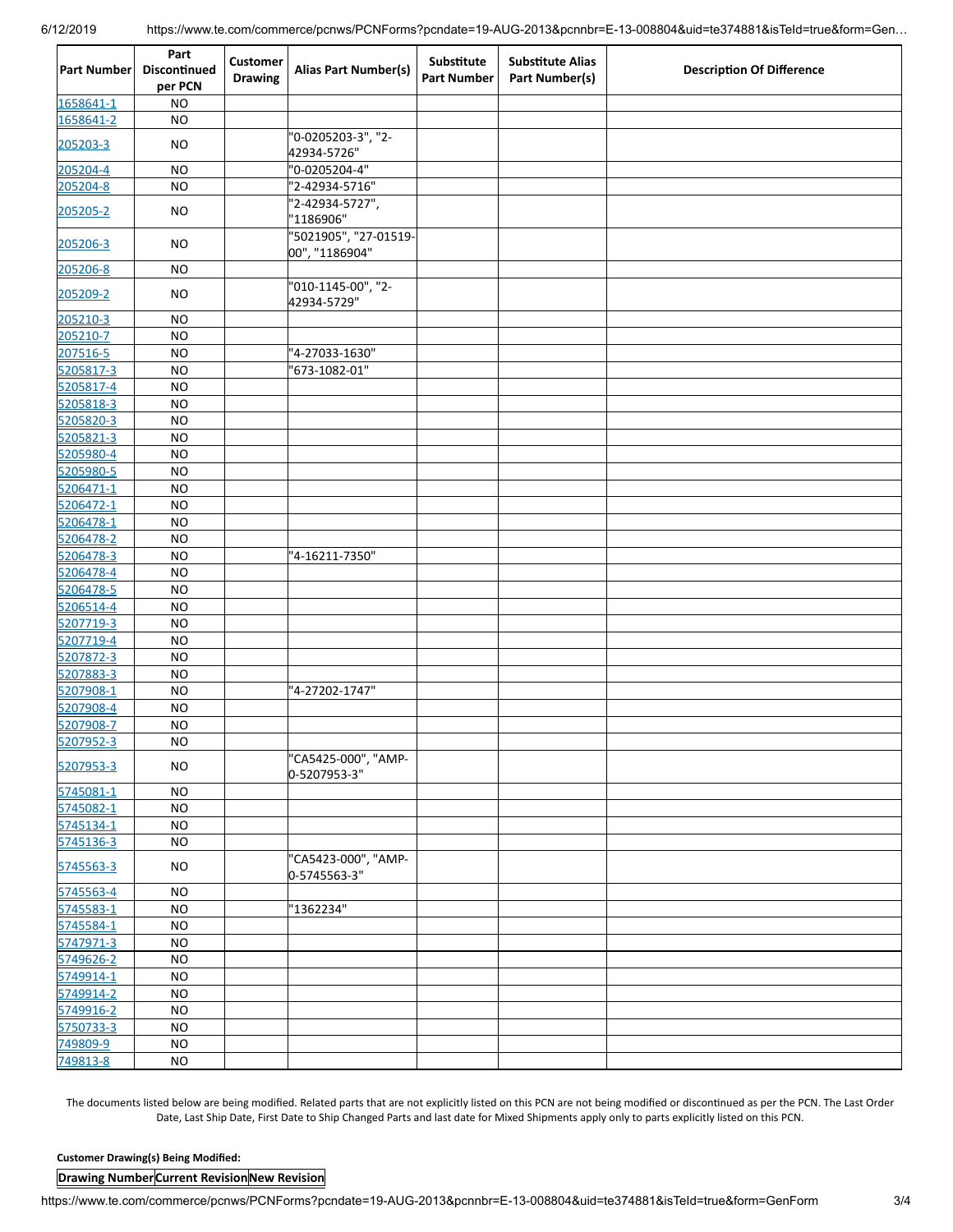| <b>Part Number</b> | Part<br>Discontinued<br>per PCN | <b>Customer</b><br><b>Drawing</b> | <b>Alias Part Number(s)</b>             | <b>Substitute</b><br><b>Part Number</b> | <b>Substitute Alias</b><br>Part Number(s) | <b>Description Of Difference</b> |
|--------------------|---------------------------------|-----------------------------------|-----------------------------------------|-----------------------------------------|-------------------------------------------|----------------------------------|
| 1658641-1          | <b>NO</b>                       |                                   |                                         |                                         |                                           |                                  |
| 1658641-2          | <b>NO</b>                       |                                   |                                         |                                         |                                           |                                  |
| 205203-3           | NO                              |                                   | "0-0205203-3", "2-<br>42934-5726"       |                                         |                                           |                                  |
| 205204-4           | <b>NO</b>                       |                                   | "0-0205204-4"                           |                                         |                                           |                                  |
| 205204-8           | <b>NO</b>                       |                                   | "2-42934-5716"                          |                                         |                                           |                                  |
| 205205-2           | NO                              |                                   | '2-42934-5727",<br>"1186906"            |                                         |                                           |                                  |
| 205206-3           | NO                              |                                   | "5021905", "27-01519-<br>00", "1186904" |                                         |                                           |                                  |
| 205206-8           | <b>NO</b>                       |                                   |                                         |                                         |                                           |                                  |
| 205209-2           | NO                              |                                   | "010-1145-00", "2-<br>42934-5729"       |                                         |                                           |                                  |
| 205210-3           | <b>NO</b>                       |                                   |                                         |                                         |                                           |                                  |
| 205210-7           | <b>NO</b>                       |                                   |                                         |                                         |                                           |                                  |
| 207516-5           | <b>NO</b>                       |                                   | "4-27033-1630"                          |                                         |                                           |                                  |
| 5205817-3          | <b>NO</b>                       |                                   | "673-1082-01"                           |                                         |                                           |                                  |
| 5205817-4          | <b>NO</b>                       |                                   |                                         |                                         |                                           |                                  |
| 5205818-3          | <b>NO</b>                       |                                   |                                         |                                         |                                           |                                  |
| 5205820-3          | <b>NO</b>                       |                                   |                                         |                                         |                                           |                                  |
| 5205821-3          | <b>NO</b>                       |                                   |                                         |                                         |                                           |                                  |
| 5205980-4          | <b>NO</b>                       |                                   |                                         |                                         |                                           |                                  |
| 5205980-5          | <b>NO</b>                       |                                   |                                         |                                         |                                           |                                  |
|                    |                                 |                                   |                                         |                                         |                                           |                                  |
| 5206471-1          | <b>NO</b>                       |                                   |                                         |                                         |                                           |                                  |
| 5206472-1          | <b>NO</b>                       |                                   |                                         |                                         |                                           |                                  |
| 5206478-1          | <b>NO</b>                       |                                   |                                         |                                         |                                           |                                  |
| 5206478-2          | <b>NO</b>                       |                                   |                                         |                                         |                                           |                                  |
| 5206478-3          | <b>NO</b>                       |                                   | "4-16211-7350"                          |                                         |                                           |                                  |
| 5206478-4          | <b>NO</b>                       |                                   |                                         |                                         |                                           |                                  |
| 5206478-5          | <b>NO</b>                       |                                   |                                         |                                         |                                           |                                  |
| 5206514-4          | <b>NO</b>                       |                                   |                                         |                                         |                                           |                                  |
| 5207719-3          | <b>NO</b>                       |                                   |                                         |                                         |                                           |                                  |
| 5207719-4          | <b>NO</b>                       |                                   |                                         |                                         |                                           |                                  |
| 5207872-3          | <b>NO</b>                       |                                   |                                         |                                         |                                           |                                  |
| 5207883-3          | <b>NO</b>                       |                                   |                                         |                                         |                                           |                                  |
| 5207908-1          | <b>NO</b>                       |                                   | '4-27202-1747"                          |                                         |                                           |                                  |
| 5207908-4          | <b>NO</b>                       |                                   |                                         |                                         |                                           |                                  |
| 5207908-7          | <b>NO</b>                       |                                   |                                         |                                         |                                           |                                  |
| 5207952-3          | N <sub>O</sub>                  |                                   |                                         |                                         |                                           |                                  |
| 5207953-3          | <b>NO</b>                       |                                   | "CA5425-000", "AMP-<br>0-5207953-3"     |                                         |                                           |                                  |
| 5745081-1          | $NO$                            |                                   |                                         |                                         |                                           |                                  |
| 5745082-1          | <b>NO</b>                       |                                   |                                         |                                         |                                           |                                  |
| 5745134-1          | <b>NO</b>                       |                                   |                                         |                                         |                                           |                                  |
| 5745136-3          | <b>NO</b>                       |                                   |                                         |                                         |                                           |                                  |
| 5745563-3          | <b>NO</b>                       |                                   | "CA5423-000", "AMP-<br>0-5745563-3"     |                                         |                                           |                                  |
| 5745563-4          | <b>NO</b>                       |                                   |                                         |                                         |                                           |                                  |
| 5745583-1          | $NO$                            |                                   | "1362234"                               |                                         |                                           |                                  |
| 5745584-1          | $NO$                            |                                   |                                         |                                         |                                           |                                  |
| 5747971-3          | <b>NO</b>                       |                                   |                                         |                                         |                                           |                                  |
| 5749626-2          | <b>NO</b>                       |                                   |                                         |                                         |                                           |                                  |
|                    |                                 |                                   |                                         |                                         |                                           |                                  |
| 5749914-1          | <b>NO</b>                       |                                   |                                         |                                         |                                           |                                  |
| 5749914-2          | <b>NO</b>                       |                                   |                                         |                                         |                                           |                                  |
| 5749916-2          | <b>NO</b>                       |                                   |                                         |                                         |                                           |                                  |
| 5750733-3          | <b>NO</b>                       |                                   |                                         |                                         |                                           |                                  |
| 749809-9           | <b>NO</b>                       |                                   |                                         |                                         |                                           |                                  |
| 749813-8           | NO                              |                                   |                                         |                                         |                                           |                                  |

The documents listed below are being modified. Related parts that are not explicitly listed on this PCN are not being modified or discontinued as per the PCN. The Last Order Date, Last Ship Date, First Date to Ship Changed Parts and last date for Mixed Shipments apply only to parts explicitly listed on this PCN.

#### **Customer Drawing(s) Being Modified:**

#### **Drawing NumberCurrent Revision New Revision**